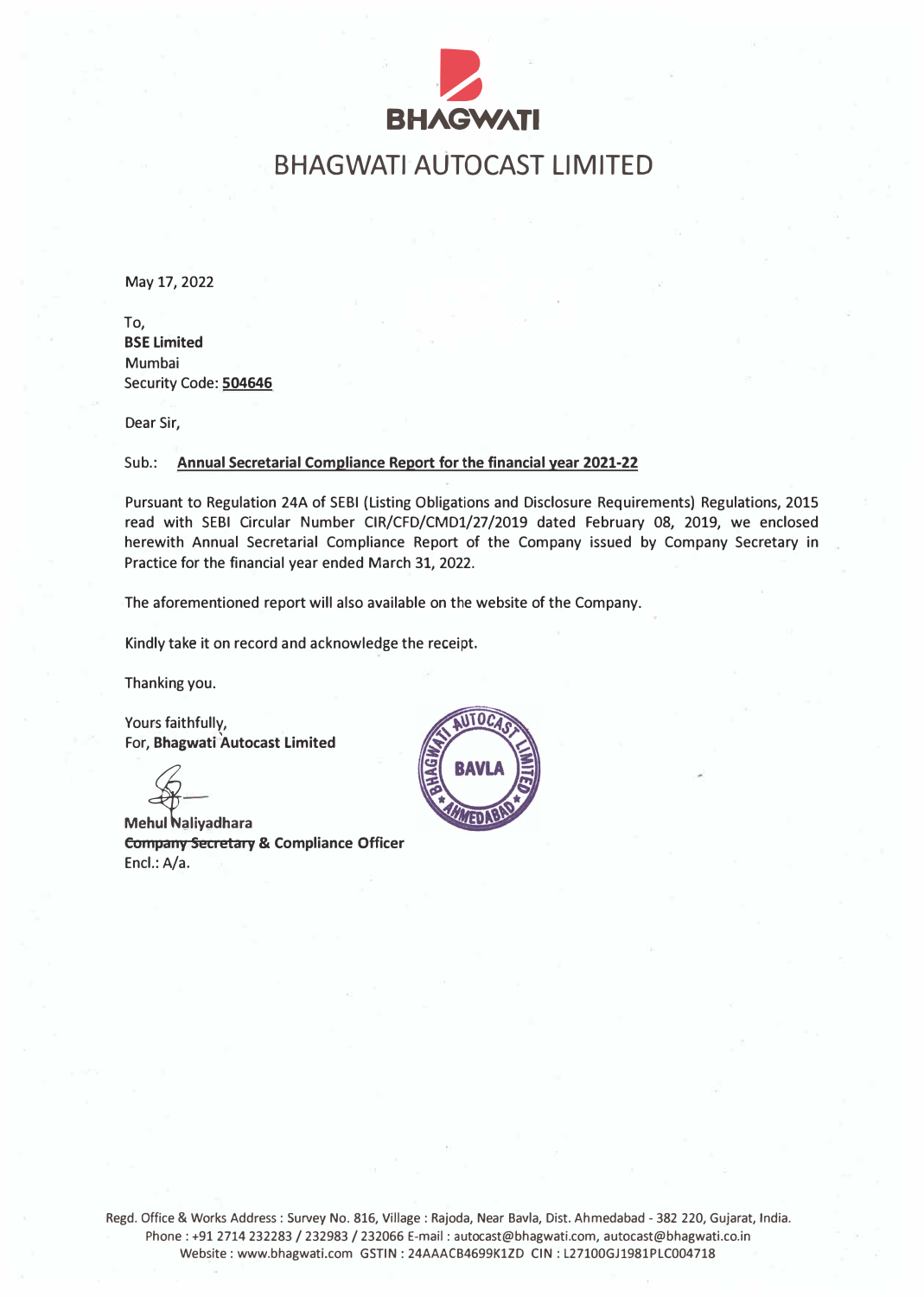

# BHAGWATI AUTOCAST LIMITED

May 17, 2022

To, BSE Limited Mumbai Security Code: 504646

Dear Sir,

#### Sub.: Annual Secretarial Compliance Report for the financial year 2021-22

Pursuant to Regulation 24A of SEBI {Listing Obligations and Disclosure Requirements) Regulations, 2015 read with SEBI Circular Number CIR/CFD/CMD1/27/2019 dated February 08, 2019, we enclosed herewith Annual Secretarial Compliance Report of the Company issued by Company Secretary in Practice for the financial year ended March 31, 2022.

The aforementioned report will also available on the website of the Company.

Kindly take it on record and acknowledge the receipt.

Thanking you.

Yours faithfully, For, Bhagwati Autocast Limited

**Mehul Naliyadhara** Company Secretary & Compliance Officer Encl.: A/a.



Regd. Office & Works Address : Survey No. 816, Village : Rajoda, Near Bavla, Dist. Ahmedabad - 382 220, Gujarat, India. Phone : +91 2714 232283 *I* 232983 *I* 232066 E-mail : autocast@bhagwati.com, autocast@bhagwati.co.in Website: www.bhagwati.com GSTIN: 24AAACB4699K1ZD CIN: L27100GJ1981PLC004718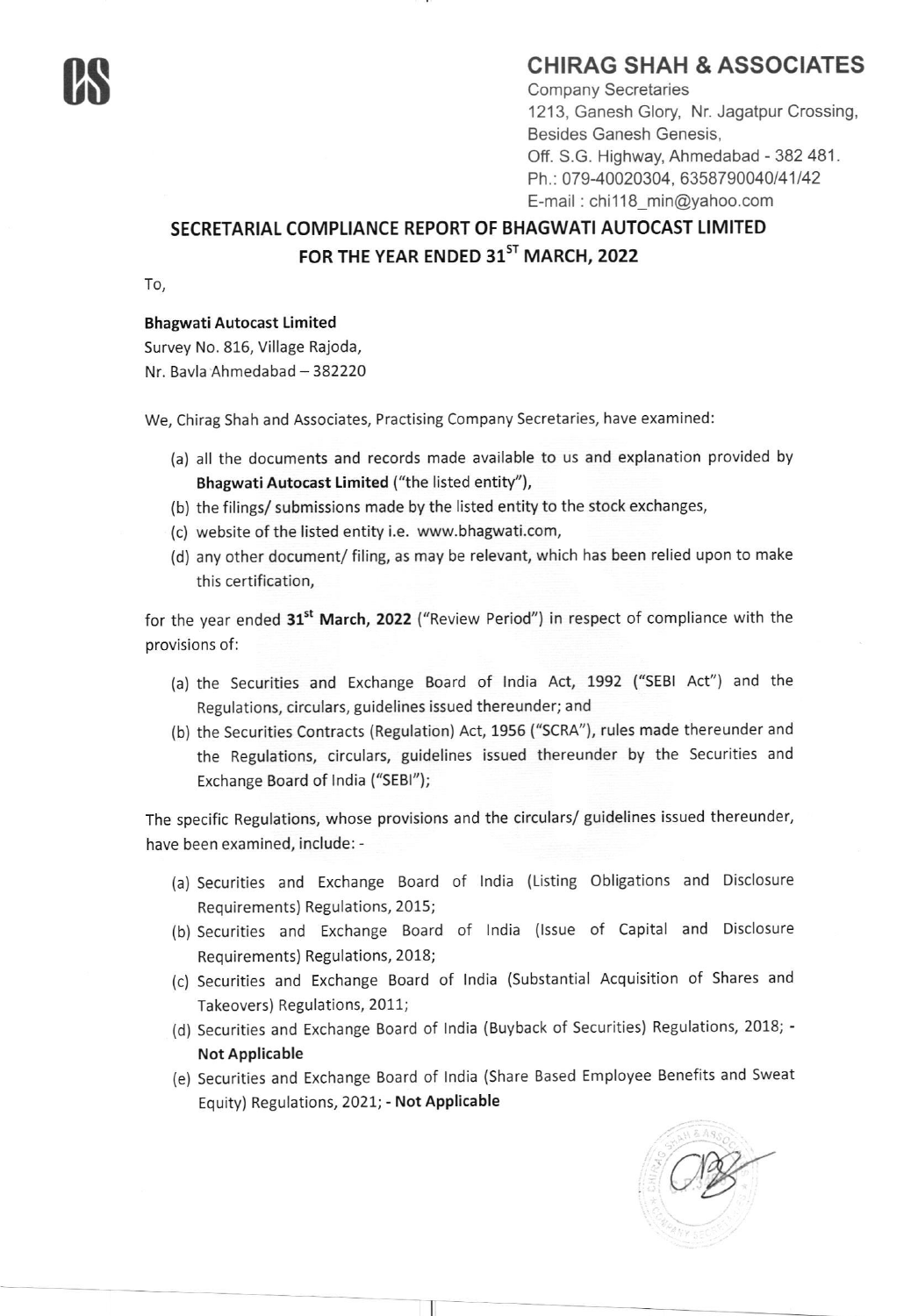### CHIRAG SHAH & ASSOCIATES

Company Secretaries 1213, Ganesh Glory, Nr. Jagatpur Crossing, Besides Ganesh Genesis, Off. S.G. Highway, Ahmedabad - 382 481. Ph.: 079-40020304, 6358790040/41/42 E-mail : chi118\_min@yahoo.com

#### SECRETARIAL COMPLIANCE REPORT OF BHAGWATI AUTOCAST LIMITED FOR THE YEAR ENDED 31<sup>ST</sup> MARCH, 2022

To,

#### Bhagwati Autocast Limited

Survey No. 816, Village Rajoda, Nr. Bavla Ahmedabad - 382220

We, Chirag Shah and Associates, Practising Company Secretaries, have examined:

- (a) all the documents and records made available to us and explanation provided by Bhagwati Autocast Limited ("the listed entity"),
- (b) the filings/ submissions made by the listed entity to the stock exchanges,
- (c) website of the listed entity i.e. www.bhagwati.com,
- (d) any other document/ filing, as may be relevant, which has been relied upon to make this certification,

for the year ended 31<sup>st</sup> March, 2022 ("Review Period") in respect of compliance with the provisions of:

- (a) the Securities and Exchange Board of lndia Act, 1992 ("SEBI Act") and the Regulations, circulars, guidelines issued thereunder; and
- (b) the Securities Contracts (Regulation) Act, 1955 ("SCRA"), rules made thereunder and the Regulations, circulars, guidelines issued thereunder by the Securities and Exchange Board of lndia ("SEBI");

The specific Regulations, whose provisions and the circulars/ guidelines issued thereunder, have been examined, include: -

- (a) Securities and Exchange Board of lndia (Listing Obligations and Disclosure Requirements) Regulations, 2015;
- (b) Securities and Exchange Board of lndia (lssue of Capital and Disclosure Requirements) Regulations, 2018;
- (c) Securities and Exchange Board of lndia (Substantial Acquisition of Shares and Takeovers) Regulations, 2011;
- (d) Securities and Exchange Board of lndia (Buyback of Securities) Regulations, 2018; Not Applicable
- (e) Securities and Exchange Board of lndia (Share Based Employee Benefits and Sweat Equity) Regulations, 2021; - Not Applicable

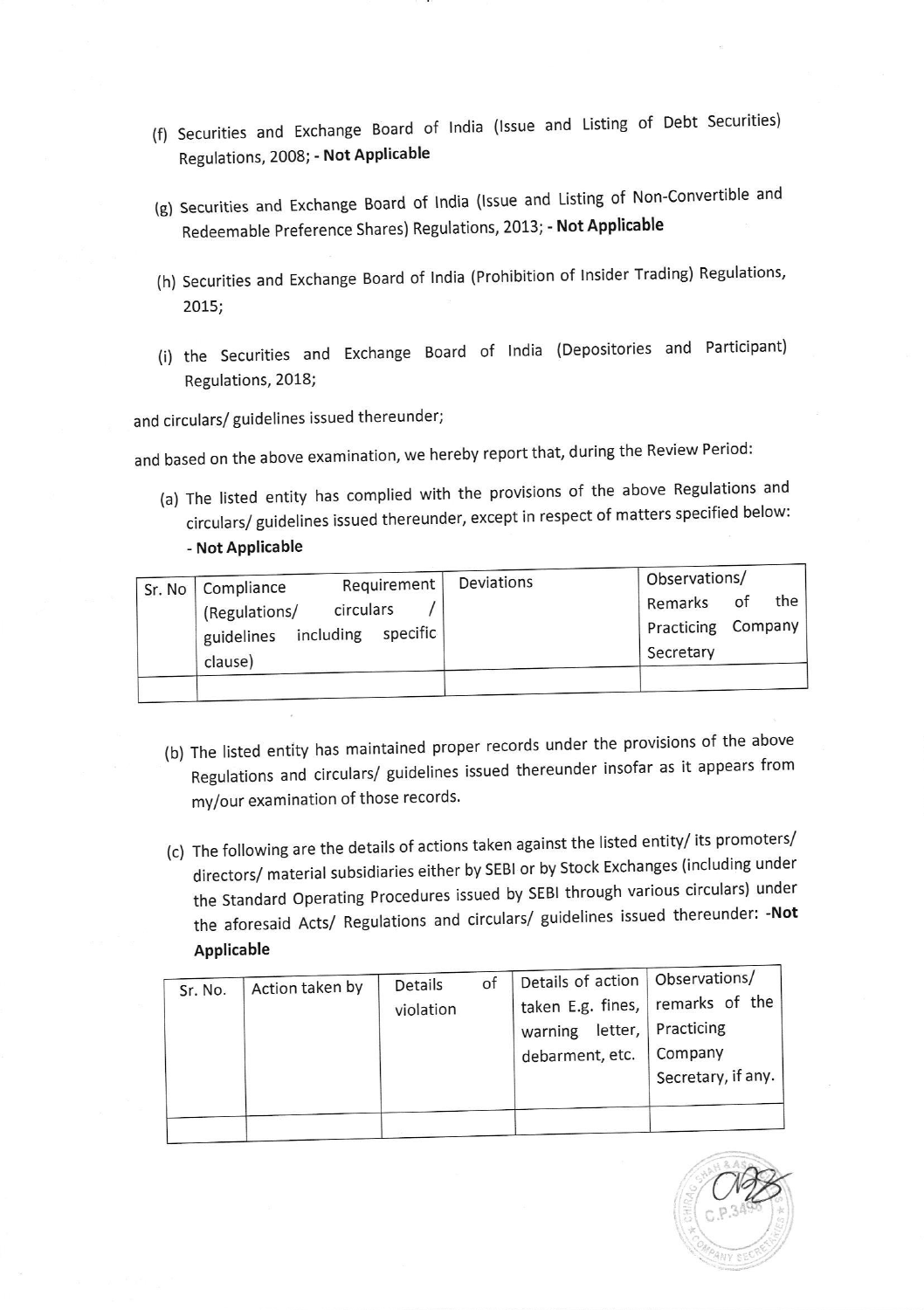- (fl Securities and Exchange Board of lndia (lssue and Listing of Debt Securities) Regulations, 2008; - Not Applicable
- (g) Securities and Exchange Board of lndia (lssue and Listing of Non-Convertible and Redeemable Preference Shares) Regulations, 2013; - Not Applicable
- (h) Securities and Exchange Board of India (Prohibition of Insider Trading) Regulations, 2015;
- (i) the Securities and Exchange Board of lndia (Depositories and Participant) Regulations, 2018;

and circulars/ guidelines issued thereunder;

and based on the above examination, we hereby report that, during the Review Period:

(a) The listed entity has complied with the provisions of the above Regulations and circulars/ guidelines issued thereunder, except in respect of matters specified below: - Not Applicable

|  | Sr. No   Compliance                    | Requirement<br>circulars<br>including specific | Deviations | Observations/               |                |  |  |
|--|----------------------------------------|------------------------------------------------|------------|-----------------------------|----------------|--|--|
|  | (Regulations/<br>guidelines<br>clause) |                                                |            | Remarks<br>of<br>Practicing | the<br>Company |  |  |
|  |                                        |                                                |            | Secretary                   |                |  |  |
|  |                                        |                                                |            |                             |                |  |  |

- (b) The listed entity has maintained proper records under the provislons of the above Regulations and circulars/ guidelines issued thereunder insofar as it appears from my/our examination of those records.
- (c) The following are the details of actions taken agalnst the listed entity/ its promoters/ directors/ material subsidiaries either by SEBI or by Stock Exchanges (including under the Standard Operating Procedures issued by SEBI through various circulars) under the aforesaid Acts/ Regulations and circulars/ guidelines issued thereunder: -Not Applicable

| Sr. No. | Action taken by | Details   | of | Details of action   Observations/  |                    |
|---------|-----------------|-----------|----|------------------------------------|--------------------|
|         |                 | violation |    | taken E.g. fines,   remarks of the |                    |
|         |                 |           |    | warning letter,                    | Practicing         |
|         |                 |           |    | debarment, etc.                    | Company            |
|         |                 |           |    |                                    | Secretary, if any. |
|         |                 |           |    |                                    |                    |